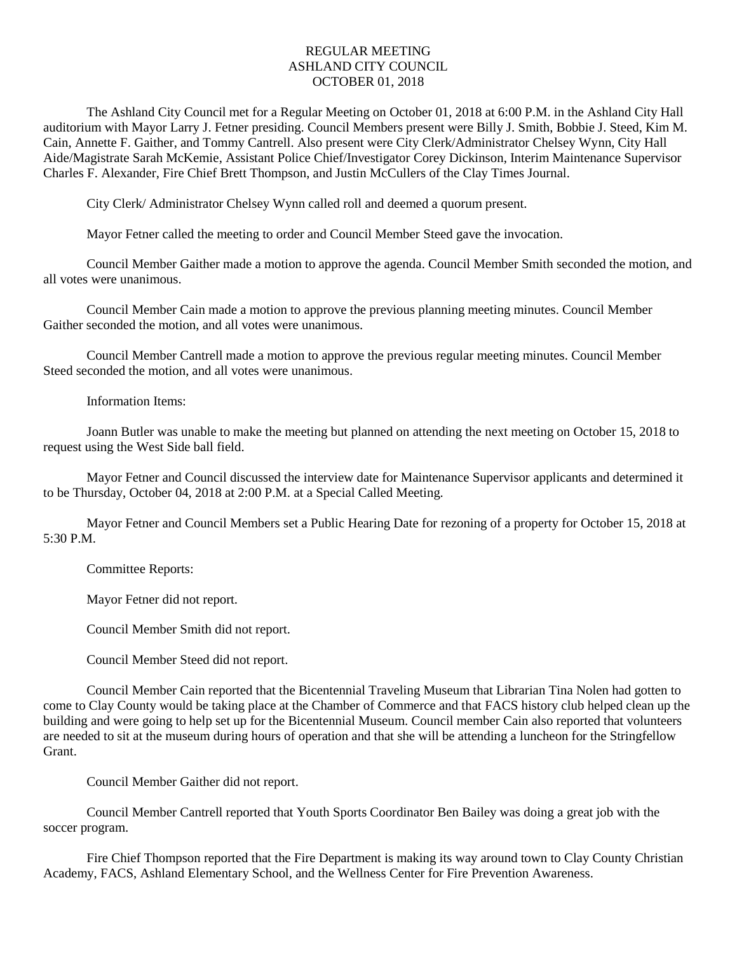## REGULAR MEETING ASHLAND CITY COUNCIL OCTOBER 01, 2018

The Ashland City Council met for a Regular Meeting on October 01, 2018 at 6:00 P.M. in the Ashland City Hall auditorium with Mayor Larry J. Fetner presiding. Council Members present were Billy J. Smith, Bobbie J. Steed, Kim M. Cain, Annette F. Gaither, and Tommy Cantrell. Also present were City Clerk/Administrator Chelsey Wynn, City Hall Aide/Magistrate Sarah McKemie, Assistant Police Chief/Investigator Corey Dickinson, Interim Maintenance Supervisor Charles F. Alexander, Fire Chief Brett Thompson, and Justin McCullers of the Clay Times Journal.

City Clerk/ Administrator Chelsey Wynn called roll and deemed a quorum present.

Mayor Fetner called the meeting to order and Council Member Steed gave the invocation.

Council Member Gaither made a motion to approve the agenda. Council Member Smith seconded the motion, and all votes were unanimous.

Council Member Cain made a motion to approve the previous planning meeting minutes. Council Member Gaither seconded the motion, and all votes were unanimous.

Council Member Cantrell made a motion to approve the previous regular meeting minutes. Council Member Steed seconded the motion, and all votes were unanimous.

Information Items:

Joann Butler was unable to make the meeting but planned on attending the next meeting on October 15, 2018 to request using the West Side ball field.

Mayor Fetner and Council discussed the interview date for Maintenance Supervisor applicants and determined it to be Thursday, October 04, 2018 at 2:00 P.M. at a Special Called Meeting.

Mayor Fetner and Council Members set a Public Hearing Date for rezoning of a property for October 15, 2018 at 5:30 P.M.

Committee Reports:

Mayor Fetner did not report.

Council Member Smith did not report.

Council Member Steed did not report.

Council Member Cain reported that the Bicentennial Traveling Museum that Librarian Tina Nolen had gotten to come to Clay County would be taking place at the Chamber of Commerce and that FACS history club helped clean up the building and were going to help set up for the Bicentennial Museum. Council member Cain also reported that volunteers are needed to sit at the museum during hours of operation and that she will be attending a luncheon for the Stringfellow Grant.

Council Member Gaither did not report.

Council Member Cantrell reported that Youth Sports Coordinator Ben Bailey was doing a great job with the soccer program.

Fire Chief Thompson reported that the Fire Department is making its way around town to Clay County Christian Academy, FACS, Ashland Elementary School, and the Wellness Center for Fire Prevention Awareness.